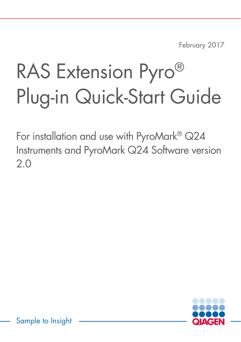February 2017

# RAS Extension Pyro<sup>®</sup> Plug-in Quick-Start Guide

For installation and use with PyroMark® Q24 Instruments and PyroMark Q24 Software version 2.0



Sample to Insight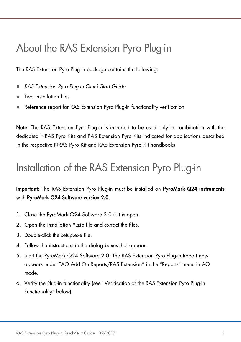### About the RAS Extension Pyro Plug-in

The RAS Extension Pyro Plug-in package contains the following:

- *RAS Extension Pyro Plug-in Quick-Start Guide*
- Two installation files
- Reference report for RAS Extension Pyro Plug-in functionality verification

Note: The RAS Extension Pyro Plug-in is intended to be used only in combination with the dedicated NRAS Pyro Kits and RAS Extension Pyro Kits indicated for applications described in the respective NRAS Pyro Kit and RAS Extension Pyro Kit handbooks.

#### Installation of the RAS Extension Pyro Plug-in

Important: The RAS Extension Pyro Plug-in must be installed on PyroMark Q24 instruments with PyroMark Q24 Software version 2.0.

- 1. Close the PyroMark Q24 Software 2.0 if it is open.
- 2. Open the installation \*.zip file and extract the files.
- 3. Double-click the setup.exe file.
- 4. Follow the instructions in the dialog boxes that appear.
- 5. Start the PyroMark Q24 Software 2.0. The RAS Extension Pyro Plug-in Report now appears under "AQ Add On Reports/RAS Extension" in the "Reports" menu in AQ mode.
- 6. Verify the Plug-in functionality (see "Verification of the RAS Extension Pyro Plug-in Functionality" below).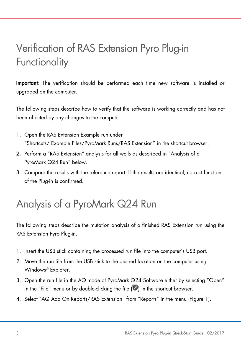# Verification of RAS Extension Pyro Plug-in **Functionality**

Important: The verification should be performed each time new software is installed or upgraded on the computer.

The following steps describe how to verify that the software is working correctly and has not been affected by any changes to the computer.

- 1. Open the RAS Extension Example run under "Shortcuts/ Example Files/PyroMark Runs/RAS Extension" in the shortcut browser.
- 2. Perform a "RAS Extension" analysis for all wells as described in "Analysis of a PyroMark Q24 Run" below.
- 3. Compare the results with the reference report. If the results are identical, correct function of the Plug-in is confirmed.

# Analysis of a PyroMark Q24 Run

The following steps describe the mutation analysis of a finished RAS Extension run using the RAS Extension Pyro Plug-in.

- 1. Insert the USB stick containing the processed run file into the computer's USB port.
- 2. Move the run file from the USB stick to the desired location on the computer using Windows® Explorer.
- 3. Open the run file in the AQ mode of PyroMark Q24 Software either by selecting "Open" in the "File" menu or by double-clicking the file  $(\bullet)$  in the shortcut browser.
- 4. Select "AQ Add On Reports/RAS Extension" from "Reports" in the menu (Figure 1).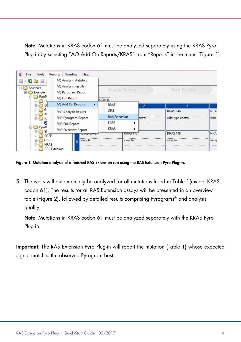Note: Mutations in KRAS codon 61 must be analyzed separately using the KRAS Pyro Plug-in by selecting "AQ Add On Reports/KRAS" from "Reports" in the menu (Figure 1).

| Tools<br>File<br>ø<br>$\Box$<br>Þo<br>Shortcuts<br>EH<br>Example F<br>PyroM | Window<br>Help<br>Reports<br><b>AQ Analysis Statistics</b><br>AQ Analysis Results<br>AQ Pyrogram Report | Assay Setup                |                 |                | <b>Run Setup</b>  |                 |
|-----------------------------------------------------------------------------|---------------------------------------------------------------------------------------------------------|----------------------------|-----------------|----------------|-------------------|-----------------|
| в                                                                           | <b>AQ Full Report</b>                                                                                   | is Setup                   |                 |                |                   |                 |
| E<br>G<br>$\overline{+}$<br>K<br>田<br>R.<br>PyroM<br>B<br><b>EGFR</b><br>Ð  | AQ Add On Reports<br>r                                                                                  | <b>BRAF</b>                |                 | $\overline{2}$ | 3                 |                 |
|                                                                             | <b>SNP Analysis Results</b><br>SNP Pyrogram Report<br><b>SNP Full Report</b><br>SNP Overview Report     | <b>GIST</b>                |                 |                | <b>KRAS 146</b>   | NRA:            |
|                                                                             |                                                                                                         | <b>RAS Extension</b>       |                 | ontrol         | wild-type control | wild-           |
|                                                                             |                                                                                                         | <b>EGFR</b><br><b>KRAS</b> |                 |                |                   |                 |
|                                                                             | プラジナクト                                                                                                  |                            | <b>KRAS 117</b> |                | <b>KRAS 146</b>   | NRA:            |
| GIST<br>田<br>田                                                              | sample<br>B<br><b>KRAS</b><br><b>RAS</b> Extension                                                      |                            | sample          |                | sample            | 1.1.1.1<br>samp |

Figure 1. Mutation analysis of a finished RAS Extension run using the RAS Extension Pyro Plug-in.

5. The wells will automatically be analyzed for all mutations listed in Table 1(except KRAS codon 61). The results for all RAS Extension assays will be presented in an overview table (Figure 2), followed by detailed results comprising Pyrograms® and analysis quality.

Note: Mutations in KRAS codon 61 must be analyzed separately with the KRAS Pyro Plug-in.

Important: The RAS Extension Pyro Plug-in will report the mutation (Table 1) whose expected signal matches the observed Pyrogram best.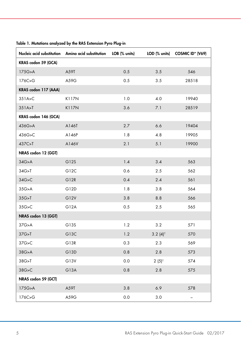|                      | Nucleic acid substitution Amino acid substitution LOB (% units) |     |                        | LOD (% units) COSMIC ID* (V69) |
|----------------------|-----------------------------------------------------------------|-----|------------------------|--------------------------------|
| KRAS codon 59 (GCA)  |                                                                 |     |                        |                                |
| 175G > A             | A59T                                                            | 0.5 | 3.5                    | 546                            |
| 176C>G               | A59G                                                            | 0.5 | 3.5                    | 28518                          |
| KRAS codon 117 (AAA) |                                                                 |     |                        |                                |
| 351A > C             | K117N                                                           | 1.0 | 4.0                    | 19940                          |
| 351A > T             | K117N                                                           | 3.6 | 7.1                    | 28519                          |
| KRAS codon 146 (GCA) |                                                                 |     |                        |                                |
| 436G>A               | A146T                                                           | 2.7 | 6.6                    | 19404                          |
| 436G>C               | A146P                                                           | 1.8 | 4.8                    | 19905                          |
| 437C>T               | A146V                                                           | 2.1 | 5.1                    | 19900                          |
| NRAS codon 12 (GGT)  |                                                                 |     |                        |                                |
| 34G>A                | G12S                                                            | 1.4 | 3.4                    | 563                            |
| 34G > T              | G12C                                                            | 0.6 | 2.5                    | 562                            |
| 34G > C              | G12R                                                            | 0.4 | 2.4                    | 561                            |
| 35G>A                | G12D                                                            | 1.8 | 3.8                    | 564                            |
| 35G > T              | G12V                                                            | 3.8 | 8.8                    | 566                            |
| 35G > C              | G12A                                                            | 0.5 | 2.5                    | 565                            |
| NRAS codon 13 (GGT)  |                                                                 |     |                        |                                |
| 37G > A              | G13S                                                            | 1.2 | 3.2                    | 571                            |
| 37G > T              | G13C                                                            | 1.2 | $3.2 (4)$ <sup>†</sup> | 570                            |
| 37G>C                | G13R                                                            | 0.3 | 2.3                    | 569                            |
| 38G > A              | G13D                                                            | 0.8 | 2.8                    | 573                            |
| 38G>T                | G13V                                                            | 0.0 | $2(5)^+$               | 574                            |
| 38G > C              | G13A                                                            | 0.8 | 2.8                    | 575                            |
| NRAS codon 59 (GCT)  |                                                                 |     |                        |                                |
| 175G > A             | A59T                                                            | 3.8 | 6.9                    | 578                            |
| 176C>G               | A59G                                                            | 0.0 | 3.0                    | $\qquad \qquad -$              |

Table 1. Mutations analyzed by the RAS Extension Pyro Plug-in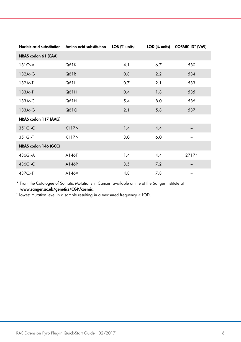|                      | Nucleic acid substitution Amino acid substitution | LOB (% units) |     | LOD (% units) COSMIC ID* (V69) |
|----------------------|---------------------------------------------------|---------------|-----|--------------------------------|
| NRAS codon 61 (CAA)  |                                                   |               |     |                                |
| 181C > A             | Q61K                                              | 4.1           | 6.7 | 580                            |
| 182A > G             | Q61R                                              | 0.8           | 2.2 | 584                            |
| 182A > T             | Q61L                                              | 0.7           | 2.1 | 583                            |
| 183A > T             | Q61H                                              | 0.4           | 1.8 | 585                            |
| 183A > C             | Q61H                                              | 5.4           | 8.0 | 586                            |
| 183A > G             | Q61Q                                              | 2.1           | 5.8 | 587                            |
| NRAS codon 117 (AAG) |                                                   |               |     |                                |
| 351G > C             | K117N                                             | 1.4           | 4.4 |                                |
| 351G > T             | K117N                                             | 3.0           | 6.0 |                                |
| NRAS codon 146 (GCC) |                                                   |               |     |                                |
| 436G>A               | A146T                                             | 1.4           | 4.4 | 27174                          |
| 436G>C               | A146P                                             | 3.5           | 7.2 |                                |
| 437C>T               | A146V                                             | 4.8           | 7.8 |                                |

\* From the Catalogue of Somatic Mutations in Cancer, available online at the Sanger Institute at [www.sanger.ac.uk/genetics/CGP/cosmic](http://www.sanger.ac.uk/genetics/CGP/cosmic).

† Lowest mutation level in a sample resulting in a measured frequency ≥ LOD.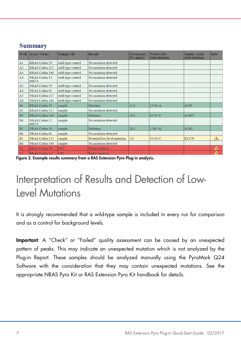| Well           | Assay Name              | <b>Sample ID</b>  | <b>Result</b>                | Frequency<br>[% units] | <b>Nucleotide</b><br><b>Substitution</b> | Amino Acid<br><b>Substitution</b> | Info |
|----------------|-------------------------|-------------------|------------------------------|------------------------|------------------------------------------|-----------------------------------|------|
| A1             | KRAS Codon 59           | wild-type control | No mutation detected         |                        |                                          |                                   |      |
| A2             | KRAS Codon 117          | wild-type control | No mutation detected         |                        |                                          |                                   |      |
| A3             | KRAS Codon 146          | wild-type control | No mutation detected         |                        |                                          |                                   |      |
| A4             | NRAS Codon 12<br>and 13 | wild-type control | No mutation detected         |                        |                                          |                                   |      |
| A <sub>5</sub> | NRAS Codon 59           | wild-type control | No mutation detected         |                        |                                          |                                   |      |
| A <sub>6</sub> | NRAS Codon 61           | wild-type control | No mutation detected         |                        |                                          |                                   |      |
| A7             | NRAS Codon 117          | wild-type control | No mutation detected         |                        |                                          |                                   |      |
| A8             | NRAS Codon 146          | wild-type control | No mutation detected         |                        |                                          |                                   |      |
| B1             | KRAS Codon 59           | sample            | Mutation                     | 35.0                   | 175G > A                                 | A59T                              |      |
| <b>B2</b>      | KRAS Codon 117          | sample            | No mutation detected         |                        |                                          |                                   |      |
| B3             | KRAS Codon 146          | sample            | Mutation                     | 29.6                   | 437C>T                                   | A146V                             |      |
| <b>B4</b>      | NRAS Codon 12<br>and 13 | sample            | No mutation detected         |                        |                                          |                                   |      |
| <b>B</b> 5     | NRAS Codon 59           | sample            | Mutation                     | 20.5                   | 176C > G                                 | A59G                              |      |
| <b>B6</b>      | NRAS Codon 61           | sample            | No mutation detected         |                        |                                          |                                   |      |
| B7             | NRAS Codon 117          | sample            | Potential low level mutation | 5.0                    | 351G>C                                   | <b>K117N</b>                      | Δ    |
| B <sub>8</sub> | NRAS Codon 146          | sample            | No mutation detected         |                        |                                          |                                   |      |
| C1             | KRAS Codon 59           | <b>NTC</b>        | <b>Failed Analysis</b>       |                        |                                          |                                   | Δ    |
| C <sub>2</sub> | KRAS Codon 117          | <b>NTC</b>        | <b>Failed Analysis</b>       |                        |                                          |                                   | Λ    |

#### **Summary**

Figure 2. Example results summary from a RAS Extension Pyro Plug-in analysis.

## Interpretation of Results and Detection of Low-Level Mutations

It is strongly recommended that a wild-type sample is included in every run for comparison and as a control for background levels.

Important: A "Check" or "Failed" quality assessment can be caused by an unexpected pattern of peaks. This may indicate an unexpected mutation which is not analyzed by the Plug-in Report. These samples should be analyzed manually using the PyroMark Q24 Software with the consideration that they may contain unexpected mutations. See the appropriate NRAS Pyro Kit or RAS Extension Pyro Kit handbook for details.